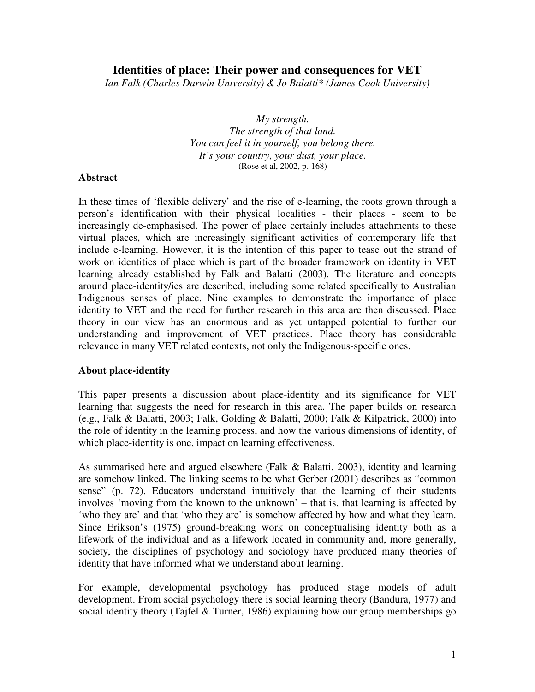# **Identities of place: Their power and consequences for VET**

*Ian Falk (Charles Darwin University) & Jo Balatti\* (James Cook University)*

*My strength. The strength of that land. You can feel it in yourself, you belong there. It's your country, your dust, your place.* (Rose et al, 2002, p. 168)

#### **Abstract**

In these times of 'flexible delivery' and the rise of e-learning, the roots grown through a person's identification with their physical localities - their places - seem to be increasingly de-emphasised. The power of place certainly includes attachments to these virtual places, which are increasingly significant activities of contemporary life that include e-learning. However, it is the intention of this paper to tease out the strand of work on identities of place which is part of the broader framework on identity in VET learning already established by Falk and Balatti (2003). The literature and concepts around place-identity/ies are described, including some related specifically to Australian Indigenous senses of place. Nine examples to demonstrate the importance of place identity to VET and the need for further research in this area are then discussed. Place theory in our view has an enormous and as yet untapped potential to further our understanding and improvement of VET practices. Place theory has considerable relevance in many VET related contexts, not only the Indigenous-specific ones.

#### **About place-identity**

This paper presents a discussion about place-identity and its significance for VET learning that suggests the need for research in this area. The paper builds on research (e.g., Falk & Balatti, 2003; Falk, Golding & Balatti, 2000; Falk & Kilpatrick, 2000) into the role of identity in the learning process, and how the various dimensions of identity, of which place-identity is one, impact on learning effectiveness.

As summarised here and argued elsewhere (Falk & Balatti, 2003), identity and learning are somehow linked. The linking seems to be what Gerber (2001) describes as "common sense" (p. 72). Educators understand intuitively that the learning of their students involves 'moving from the known to the unknown' – that is, that learning is affected by 'who they are' and that 'who they are' is somehow affected by how and what they learn. Since Erikson's (1975) ground-breaking work on conceptualising identity both as a lifework of the individual and as a lifework located in community and, more generally, society, the disciplines of psychology and sociology have produced many theories of identity that have informed what we understand about learning.

For example, developmental psychology has produced stage models of adult development. From social psychology there is social learning theory (Bandura, 1977) and social identity theory (Tajfel & Turner, 1986) explaining how our group memberships go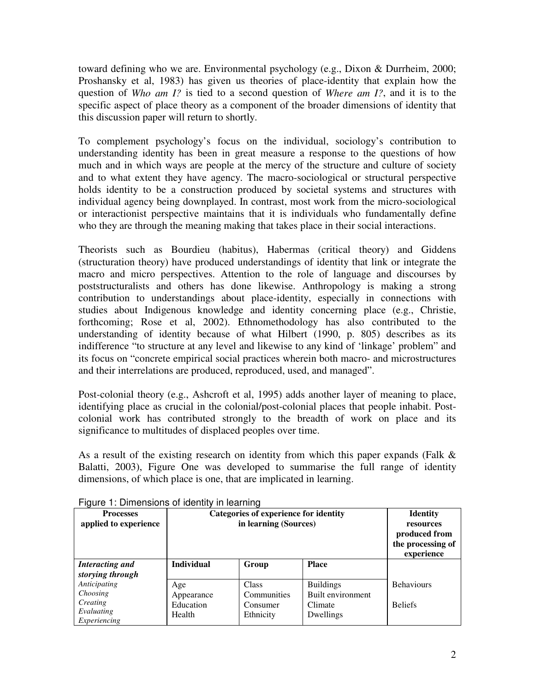toward defining who we are. Environmental psychology (e.g., Dixon & Durrheim, 2000; Proshansky et al, 1983) has given us theories of place-identity that explain how the question of *Who am I?* is tied to a second question of *Where am I?*, and it is to the specific aspect of place theory as a component of the broader dimensions of identity that this discussion paper will return to shortly.

To complement psychology's focus on the individual, sociology's contribution to understanding identity has been in great measure a response to the questions of how much and in which ways are people at the mercy of the structure and culture of society and to what extent they have agency. The macro-sociological or structural perspective holds identity to be a construction produced by societal systems and structures with individual agency being downplayed. In contrast, most work from the micro-sociological or interactionist perspective maintains that it is individuals who fundamentally define who they are through the meaning making that takes place in their social interactions.

Theorists such as Bourdieu (habitus), Habermas (critical theory) and Giddens (structuration theory) have produced understandings of identity that link or integrate the macro and micro perspectives. Attention to the role of language and discourses by poststructuralists and others has done likewise. Anthropology is making a strong contribution to understandings about place-identity, especially in connections with studies about Indigenous knowledge and identity concerning place (e.g., Christie, forthcoming; Rose et al, 2002). Ethnomethodology has also contributed to the understanding of identity because of what Hilbert (1990, p. 805) describes as its indifference "to structure at any level and likewise to any kind of 'linkage' problem" and its focus on "concrete empirical social practices wherein both macro- and microstructures and their interrelations are produced, reproduced, used, and managed".

Post-colonial theory (e.g., Ashcroft et al, 1995) adds another layer of meaning to place, identifying place as crucial in the colonial/post-colonial places that people inhabit. Postcolonial work has contributed strongly to the breadth of work on place and its significance to multitudes of displaced peoples over time.

As a result of the existing research on identity from which this paper expands (Falk & Balatti, 2003), Figure One was developed to summarise the full range of identity dimensions, of which place is one, that are implicated in learning.

| <b>Processes</b><br>applied to experience | ד ישמו היו יוסטי וס טווטוטווט וועד די טוויונע<br><b>Categories of experience for identity</b><br>in learning (Sources) |              |                   | <b>Identity</b><br>resources<br>produced from<br>the processing of<br>experience |
|-------------------------------------------|------------------------------------------------------------------------------------------------------------------------|--------------|-------------------|----------------------------------------------------------------------------------|
| Interacting and                           | <b>Individual</b>                                                                                                      | Group        | <b>Place</b>      |                                                                                  |
| storying through                          |                                                                                                                        |              |                   |                                                                                  |
| Anticipating                              | Age                                                                                                                    | <b>Class</b> | <b>Buildings</b>  | <b>Behaviours</b>                                                                |
| Choosing                                  | Appearance                                                                                                             | Communities  | Built environment |                                                                                  |
| Creating                                  | Education                                                                                                              | Consumer     | Climate           | <b>Beliefs</b>                                                                   |
| Evaluating                                | Health                                                                                                                 | Ethnicity    | Dwellings         |                                                                                  |
| Experiencing                              |                                                                                                                        |              |                   |                                                                                  |

Figure 1: Dimensions of identity in learning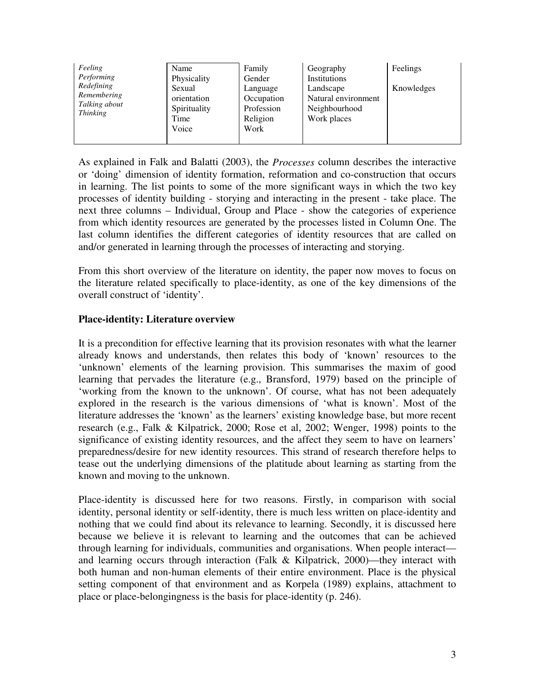| Feeling<br>Performing<br>Redefining<br>Remembering<br>Talking about<br><b>Thinking</b> | Name                  | Family                   | Geography                        | Feelings   |
|----------------------------------------------------------------------------------------|-----------------------|--------------------------|----------------------------------|------------|
|                                                                                        | Physicality           | Gender                   | Institutions                     |            |
|                                                                                        | Sexual<br>orientation | Language                 | Landscape<br>Natural environment | Knowledges |
|                                                                                        | Spirituality          | Occupation<br>Profession | Neighbourhood                    |            |
|                                                                                        | Time                  | Religion                 | Work places                      |            |
|                                                                                        | Voice                 | Work                     |                                  |            |
|                                                                                        |                       |                          |                                  |            |

As explained in Falk and Balatti (2003), the *Processes* column describes the interactive or 'doing' dimension of identity formation, reformation and co-construction that occurs in learning. The list points to some of the more significant ways in which the two key processes of identity building - storying and interacting in the present - take place. The next three columns – Individual, Group and Place - show the categories of experience from which identity resources are generated by the processes listed in Column One. The last column identifies the different categories of identity resources that are called on and/or generated in learning through the processes of interacting and storying.

From this short overview of the literature on identity, the paper now moves to focus on the literature related specifically to place-identity, as one of the key dimensions of the overall construct of 'identity'.

## **Place-identity: Literature overview**

It is a precondition for effective learning that its provision resonates with what the learner already knows and understands, then relates this body of 'known' resources to the 'unknown' elements of the learning provision. This summarises the maxim of good learning that pervades the literature (e.g., Bransford, 1979) based on the principle of 'working from the known to the unknown'. Of course, what has not been adequately explored in the research is the various dimensions of 'what is known'. Most of the literature addresses the 'known' as the learners' existing knowledge base, but more recent research (e.g., Falk & Kilpatrick, 2000; Rose et al, 2002; Wenger, 1998) points to the significance of existing identity resources, and the affect they seem to have on learners' preparedness/desire for new identity resources. This strand of research therefore helps to tease out the underlying dimensions of the platitude about learning as starting from the known and moving to the unknown.

Place-identity is discussed here for two reasons. Firstly, in comparison with social identity, personal identity or self-identity, there is much less written on place-identity and nothing that we could find about its relevance to learning. Secondly, it is discussed here because we believe it is relevant to learning and the outcomes that can be achieved through learning for individuals, communities and organisations. When people interact and learning occurs through interaction (Falk & Kilpatrick, 2000)—they interact with both human and non-human elements of their entire environment. Place is the physical setting component of that environment and as Korpela (1989) explains, attachment to place or place-belongingness is the basis for place-identity (p. 246).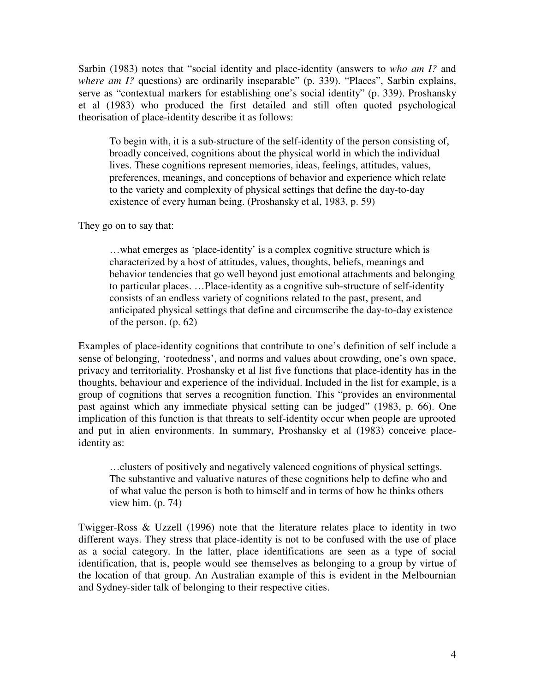Sarbin (1983) notes that "social identity and place-identity (answers to *who am I?* and *where am I?* questions) are ordinarily inseparable" (p. 339). "Places", Sarbin explains, serve as "contextual markers for establishing one's social identity" (p. 339). Proshansky et al (1983) who produced the first detailed and still often quoted psychological theorisation of place-identity describe it as follows:

To begin with, it is a sub-structure of the self-identity of the person consisting of, broadly conceived, cognitions about the physical world in which the individual lives. These cognitions represent memories, ideas, feelings, attitudes, values, preferences, meanings, and conceptions of behavior and experience which relate to the variety and complexity of physical settings that define the day-to-day existence of every human being. (Proshansky et al, 1983, p. 59)

They go on to say that:

…what emerges as 'place-identity' is a complex cognitive structure which is characterized by a host of attitudes, values, thoughts, beliefs, meanings and behavior tendencies that go well beyond just emotional attachments and belonging to particular places. …Place-identity as a cognitive sub-structure of self-identity consists of an endless variety of cognitions related to the past, present, and anticipated physical settings that define and circumscribe the day-to-day existence of the person. (p. 62)

Examples of place-identity cognitions that contribute to one's definition of self include a sense of belonging, 'rootedness', and norms and values about crowding, one's own space, privacy and territoriality. Proshansky et al list five functions that place-identity has in the thoughts, behaviour and experience of the individual. Included in the list for example, is a group of cognitions that serves a recognition function. This "provides an environmental past against which any immediate physical setting can be judged" (1983, p. 66). One implication of this function is that threats to self-identity occur when people are uprooted and put in alien environments. In summary, Proshansky et al (1983) conceive placeidentity as:

…clusters of positively and negatively valenced cognitions of physical settings. The substantive and valuative natures of these cognitions help to define who and of what value the person is both to himself and in terms of how he thinks others view him. (p. 74)

Twigger-Ross & Uzzell (1996) note that the literature relates place to identity in two different ways. They stress that place-identity is not to be confused with the use of place as a social category. In the latter, place identifications are seen as a type of social identification, that is, people would see themselves as belonging to a group by virtue of the location of that group. An Australian example of this is evident in the Melbournian and Sydney-sider talk of belonging to their respective cities.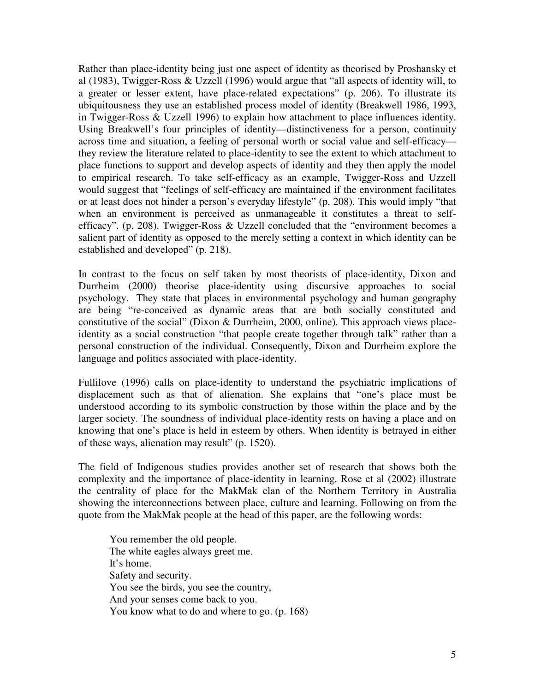Rather than place-identity being just one aspect of identity as theorised by Proshansky et al (1983), Twigger-Ross & Uzzell (1996) would argue that "all aspects of identity will, to a greater or lesser extent, have place-related expectations" (p. 206). To illustrate its ubiquitousness they use an established process model of identity (Breakwell 1986, 1993, in Twigger-Ross & Uzzell 1996) to explain how attachment to place influences identity. Using Breakwell's four principles of identity—distinctiveness for a person, continuity across time and situation, a feeling of personal worth or social value and self-efficacy they review the literature related to place-identity to see the extent to which attachment to place functions to support and develop aspects of identity and they then apply the model to empirical research. To take self-efficacy as an example, Twigger-Ross and Uzzell would suggest that "feelings of self-efficacy are maintained if the environment facilitates or at least does not hinder a person's everyday lifestyle" (p. 208). This would imply "that when an environment is perceived as unmanageable it constitutes a threat to selfefficacy". (p. 208). Twigger-Ross & Uzzell concluded that the "environment becomes a salient part of identity as opposed to the merely setting a context in which identity can be established and developed" (p. 218).

In contrast to the focus on self taken by most theorists of place-identity, Dixon and Durrheim (2000) theorise place-identity using discursive approaches to social psychology. They state that places in environmental psychology and human geography are being "re-conceived as dynamic areas that are both socially constituted and constitutive of the social" (Dixon & Durrheim, 2000, online). This approach views placeidentity as a social construction "that people create together through talk" rather than a personal construction of the individual. Consequently, Dixon and Durrheim explore the language and politics associated with place-identity.

Fullilove (1996) calls on place-identity to understand the psychiatric implications of displacement such as that of alienation. She explains that "one's place must be understood according to its symbolic construction by those within the place and by the larger society. The soundness of individual place-identity rests on having a place and on knowing that one's place is held in esteem by others. When identity is betrayed in either of these ways, alienation may result" (p. 1520).

The field of Indigenous studies provides another set of research that shows both the complexity and the importance of place-identity in learning. Rose et al (2002) illustrate the centrality of place for the MakMak clan of the Northern Territory in Australia showing the interconnections between place, culture and learning. Following on from the quote from the MakMak people at the head of this paper, are the following words:

You remember the old people. The white eagles always greet me. It's home. Safety and security. You see the birds, you see the country, And your senses come back to you. You know what to do and where to go. (p. 168)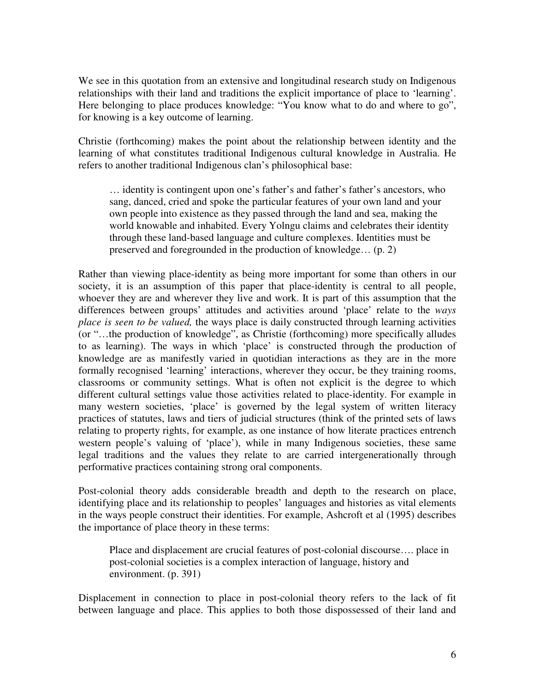We see in this quotation from an extensive and longitudinal research study on Indigenous relationships with their land and traditions the explicit importance of place to 'learning'. Here belonging to place produces knowledge: "You know what to do and where to go", for knowing is a key outcome of learning.

Christie (forthcoming) makes the point about the relationship between identity and the learning of what constitutes traditional Indigenous cultural knowledge in Australia. He refers to another traditional Indigenous clan's philosophical base:

… identity is contingent upon one's father's and father's father's ancestors, who sang, danced, cried and spoke the particular features of your own land and your own people into existence as they passed through the land and sea, making the world knowable and inhabited. Every Yolngu claims and celebrates their identity through these land-based language and culture complexes. Identities must be preserved and foregrounded in the production of knowledge… (p. 2)

Rather than viewing place-identity as being more important for some than others in our society, it is an assumption of this paper that place-identity is central to all people, whoever they are and wherever they live and work. It is part of this assumption that the differences between groups' attitudes and activities around 'place' relate to the *ways place is seen to be valued,* the ways place is daily constructed through learning activities (or "…the production of knowledge", as Christie (forthcoming) more specifically alludes to as learning). The ways in which 'place' is constructed through the production of knowledge are as manifestly varied in quotidian interactions as they are in the more formally recognised 'learning' interactions, wherever they occur, be they training rooms, classrooms or community settings. What is often not explicit is the degree to which different cultural settings value those activities related to place-identity. For example in many western societies, 'place' is governed by the legal system of written literacy practices of statutes, laws and tiers of judicial structures (think of the printed sets of laws relating to property rights, for example, as one instance of how literate practices entrench western people's valuing of 'place'), while in many Indigenous societies, these same legal traditions and the values they relate to are carried intergenerationally through performative practices containing strong oral components.

Post-colonial theory adds considerable breadth and depth to the research on place, identifying place and its relationship to peoples' languages and histories as vital elements in the ways people construct their identities. For example, Ashcroft et al (1995) describes the importance of place theory in these terms:

Place and displacement are crucial features of post-colonial discourse…. place in post-colonial societies is a complex interaction of language, history and environment. (p. 391)

Displacement in connection to place in post-colonial theory refers to the lack of fit between language and place. This applies to both those dispossessed of their land and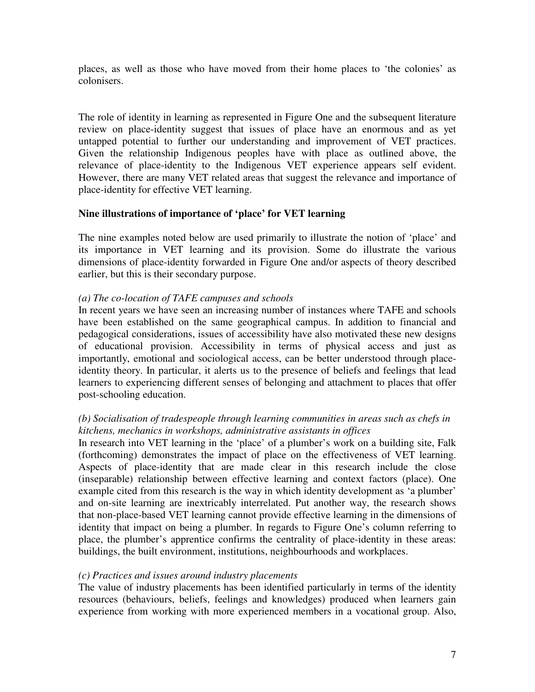places, as well as those who have moved from their home places to 'the colonies' as colonisers.

The role of identity in learning as represented in Figure One and the subsequent literature review on place-identity suggest that issues of place have an enormous and as yet untapped potential to further our understanding and improvement of VET practices. Given the relationship Indigenous peoples have with place as outlined above, the relevance of place-identity to the Indigenous VET experience appears self evident. However, there are many VET related areas that suggest the relevance and importance of place-identity for effective VET learning.

## **Nine illustrations of importance of 'place' for VET learning**

The nine examples noted below are used primarily to illustrate the notion of 'place' and its importance in VET learning and its provision. Some do illustrate the various dimensions of place-identity forwarded in Figure One and/or aspects of theory described earlier, but this is their secondary purpose.

## *(a) The co-location of TAFE campuses and schools*

In recent years we have seen an increasing number of instances where TAFE and schools have been established on the same geographical campus. In addition to financial and pedagogical considerations, issues of accessibility have also motivated these new designs of educational provision. Accessibility in terms of physical access and just as importantly, emotional and sociological access, can be better understood through placeidentity theory. In particular, it alerts us to the presence of beliefs and feelings that lead learners to experiencing different senses of belonging and attachment to places that offer post-schooling education.

# *(b) Socialisation of tradespeople through learning communities in areas such as chefs in kitchens, mechanics in workshops, administrative assistants in offices*

In research into VET learning in the 'place' of a plumber's work on a building site, Falk (forthcoming) demonstrates the impact of place on the effectiveness of VET learning. Aspects of place-identity that are made clear in this research include the close (inseparable) relationship between effective learning and context factors (place). One example cited from this research is the way in which identity development as 'a plumber' and on-site learning are inextricably interrelated. Put another way, the research shows that non-place-based VET learning cannot provide effective learning in the dimensions of identity that impact on being a plumber. In regards to Figure One's column referring to place, the plumber's apprentice confirms the centrality of place-identity in these areas: buildings, the built environment, institutions, neighbourhoods and workplaces.

### *(c) Practices and issues around industry placements*

The value of industry placements has been identified particularly in terms of the identity resources (behaviours, beliefs, feelings and knowledges) produced when learners gain experience from working with more experienced members in a vocational group. Also,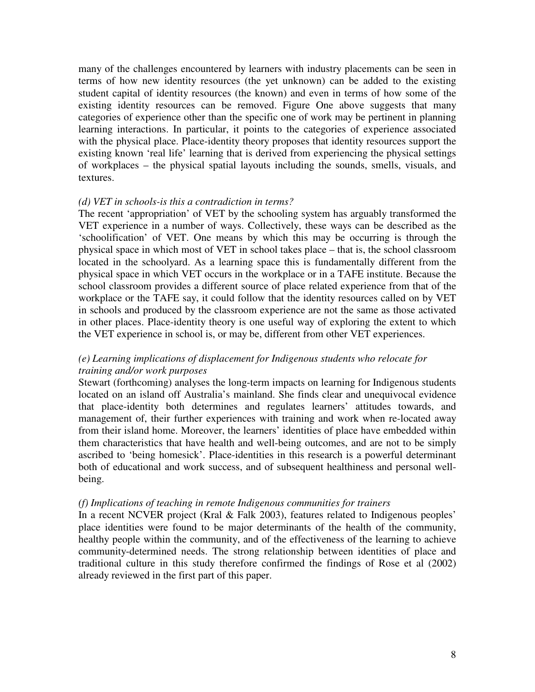many of the challenges encountered by learners with industry placements can be seen in terms of how new identity resources (the yet unknown) can be added to the existing student capital of identity resources (the known) and even in terms of how some of the existing identity resources can be removed. Figure One above suggests that many categories of experience other than the specific one of work may be pertinent in planning learning interactions. In particular, it points to the categories of experience associated with the physical place. Place-identity theory proposes that identity resources support the existing known 'real life' learning that is derived from experiencing the physical settings of workplaces – the physical spatial layouts including the sounds, smells, visuals, and textures.

### *(d) VET in schools-is this a contradiction in terms?*

The recent 'appropriation' of VET by the schooling system has arguably transformed the VET experience in a number of ways. Collectively, these ways can be described as the 'schoolification' of VET. One means by which this may be occurring is through the physical space in which most of VET in school takes place – that is, the school classroom located in the schoolyard. As a learning space this is fundamentally different from the physical space in which VET occurs in the workplace or in a TAFE institute. Because the school classroom provides a different source of place related experience from that of the workplace or the TAFE say, it could follow that the identity resources called on by VET in schools and produced by the classroom experience are not the same as those activated in other places. Place-identity theory is one useful way of exploring the extent to which the VET experience in school is, or may be, different from other VET experiences.

## *(e) Learning implications of displacement for Indigenous students who relocate for training and/or work purposes*

Stewart (forthcoming) analyses the long-term impacts on learning for Indigenous students located on an island off Australia's mainland. She finds clear and unequivocal evidence that place-identity both determines and regulates learners' attitudes towards, and management of, their further experiences with training and work when re-located away from their island home. Moreover, the learners' identities of place have embedded within them characteristics that have health and well-being outcomes, and are not to be simply ascribed to 'being homesick'. Place-identities in this research is a powerful determinant both of educational and work success, and of subsequent healthiness and personal wellbeing.

### *(f) Implications of teaching in remote Indigenous communities for trainers*

In a recent NCVER project (Kral & Falk 2003), features related to Indigenous peoples' place identities were found to be major determinants of the health of the community, healthy people within the community, and of the effectiveness of the learning to achieve community-determined needs. The strong relationship between identities of place and traditional culture in this study therefore confirmed the findings of Rose et al (2002) already reviewed in the first part of this paper.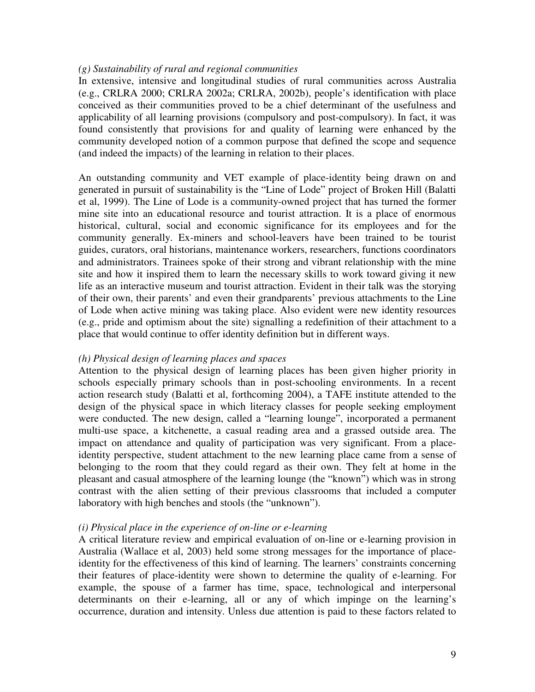### *(g) Sustainability of rural and regional communities*

In extensive, intensive and longitudinal studies of rural communities across Australia (e.g., CRLRA 2000; CRLRA 2002a; CRLRA, 2002b), people's identification with place conceived as their communities proved to be a chief determinant of the usefulness and applicability of all learning provisions (compulsory and post-compulsory). In fact, it was found consistently that provisions for and quality of learning were enhanced by the community developed notion of a common purpose that defined the scope and sequence (and indeed the impacts) of the learning in relation to their places.

An outstanding community and VET example of place-identity being drawn on and generated in pursuit of sustainability is the "Line of Lode" project of Broken Hill (Balatti et al, 1999). The Line of Lode is a community-owned project that has turned the former mine site into an educational resource and tourist attraction. It is a place of enormous historical, cultural, social and economic significance for its employees and for the community generally. Ex-miners and school-leavers have been trained to be tourist guides, curators, oral historians, maintenance workers, researchers, functions coordinators and administrators. Trainees spoke of their strong and vibrant relationship with the mine site and how it inspired them to learn the necessary skills to work toward giving it new life as an interactive museum and tourist attraction. Evident in their talk was the storying of their own, their parents' and even their grandparents' previous attachments to the Line of Lode when active mining was taking place. Also evident were new identity resources (e.g., pride and optimism about the site) signalling a redefinition of their attachment to a place that would continue to offer identity definition but in different ways.

### *(h) Physical design of learning places and spaces*

Attention to the physical design of learning places has been given higher priority in schools especially primary schools than in post-schooling environments. In a recent action research study (Balatti et al, forthcoming 2004), a TAFE institute attended to the design of the physical space in which literacy classes for people seeking employment were conducted. The new design, called a "learning lounge", incorporated a permanent multi-use space, a kitchenette, a casual reading area and a grassed outside area. The impact on attendance and quality of participation was very significant. From a placeidentity perspective, student attachment to the new learning place came from a sense of belonging to the room that they could regard as their own. They felt at home in the pleasant and casual atmosphere of the learning lounge (the "known") which was in strong contrast with the alien setting of their previous classrooms that included a computer laboratory with high benches and stools (the "unknown").

### *(i) Physical place in the experience of on-line or e-learning*

A critical literature review and empirical evaluation of on-line or e-learning provision in Australia (Wallace et al, 2003) held some strong messages for the importance of placeidentity for the effectiveness of this kind of learning. The learners' constraints concerning their features of place-identity were shown to determine the quality of e-learning. For example, the spouse of a farmer has time, space, technological and interpersonal determinants on their e-learning, all or any of which impinge on the learning's occurrence, duration and intensity. Unless due attention is paid to these factors related to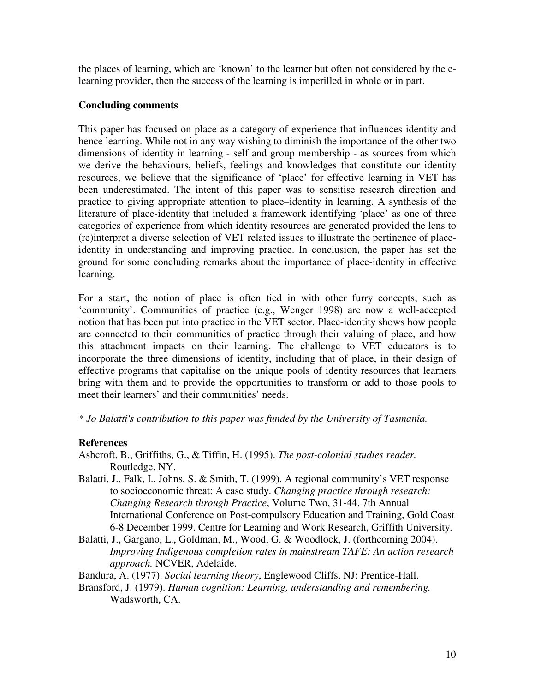the places of learning, which are 'known' to the learner but often not considered by the elearning provider, then the success of the learning is imperilled in whole or in part.

## **Concluding comments**

This paper has focused on place as a category of experience that influences identity and hence learning. While not in any way wishing to diminish the importance of the other two dimensions of identity in learning - self and group membership - as sources from which we derive the behaviours, beliefs, feelings and knowledges that constitute our identity resources, we believe that the significance of 'place' for effective learning in VET has been underestimated. The intent of this paper was to sensitise research direction and practice to giving appropriate attention to place–identity in learning. A synthesis of the literature of place-identity that included a framework identifying 'place' as one of three categories of experience from which identity resources are generated provided the lens to (re)interpret a diverse selection of VET related issues to illustrate the pertinence of placeidentity in understanding and improving practice. In conclusion, the paper has set the ground for some concluding remarks about the importance of place-identity in effective learning.

For a start, the notion of place is often tied in with other furry concepts, such as 'community'. Communities of practice (e.g., Wenger 1998) are now a well-accepted notion that has been put into practice in the VET sector. Place-identity shows how people are connected to their communities of practice through their valuing of place, and how this attachment impacts on their learning. The challenge to VET educators is to incorporate the three dimensions of identity, including that of place, in their design of effective programs that capitalise on the unique pools of identity resources that learners bring with them and to provide the opportunities to transform or add to those pools to meet their learners' and their communities' needs.

*\* Jo Balatti's contribution to this paper was funded by the University of Tasmania.*

# **References**

- Ashcroft, B., Griffiths, G., & Tiffin, H. (1995). *The post-colonial studies reader.* Routledge, NY.
- Balatti, J., Falk, I., Johns, S. & Smith, T. (1999). A regional community's VET response to socioeconomic threat: A case study. *Changing practice through research: Changing Research through Practice*, Volume Two, 31-44. 7th Annual International Conference on Post-compulsory Education and Training, Gold Coast 6-8 December 1999. Centre for Learning and Work Research, Griffith University.
- Balatti, J., Gargano, L., Goldman, M., Wood, G. & Woodlock, J. (forthcoming 2004). *Improving Indigenous completion rates in mainstream TAFE: An action research approach.* NCVER, Adelaide.

Bandura, A. (1977). *Social learning theory*, Englewood Cliffs, NJ: Prentice-Hall.

Bransford, J. (1979). *Human cognition: Learning, understanding and remembering.* Wadsworth, CA.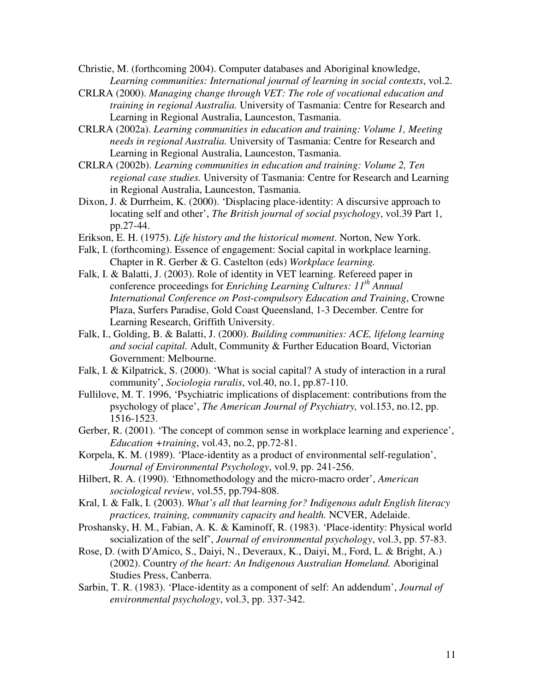Christie, M. (forthcoming 2004). Computer databases and Aboriginal knowledge, *Learning communities: International journal of learning in social contexts*, vol.2.

- CRLRA (2000). *Managing change through VET: The role of vocational education and training in regional Australia.* University of Tasmania: Centre for Research and Learning in Regional Australia, Launceston, Tasmania.
- CRLRA (2002a). *Learning communities in education and training: Volume 1, Meeting needs in regional Australia.* University of Tasmania: Centre for Research and Learning in Regional Australia, Launceston, Tasmania.
- CRLRA (2002b). *Learning communities in education and training: Volume 2, Ten regional case studies.* University of Tasmania: Centre for Research and Learning in Regional Australia, Launceston, Tasmania.
- Dixon, J. & Durrheim, K. (2000). 'Displacing place-identity: A discursive approach to locating self and other', *The British journal of social psychology*, vol.39 Part 1, pp.27-44.
- Erikson, E. H. (1975). *Life history and the historical moment*. Norton, New York.
- Falk, I. (forthcoming). Essence of engagement: Social capital in workplace learning. Chapter in R. Gerber & G. Castelton (eds) *Workplace learning.*
- Falk, I. & Balatti, J. (2003). Role of identity in VET learning. Refereed paper in conference proceedings for *Enriching Learning Cultures: 11 th Annual International Conference on Post-compulsory Education and Training*, Crowne Plaza, Surfers Paradise, Gold Coast Queensland, 1-3 December*.* Centre for Learning Research, Griffith University.
- Falk, I., Golding, B. & Balatti, J. (2000). *Building communities: ACE, lifelong learning and social capital.* Adult, Community & Further Education Board, Victorian Government: Melbourne.
- Falk, I. & Kilpatrick, S. (2000). 'What is social capital? A study of interaction in a rural community', *Sociologia ruralis*, vol.40, no.1, pp.87-110.
- Fullilove, M. T. 1996, 'Psychiatric implications of displacement: contributions from the psychology of place', *The American Journal of Psychiatry,* vol.153, no.12, pp. 1516-1523.
- Gerber, R. (2001). 'The concept of common sense in workplace learning and experience', *Education +training*, vol.43, no.2, pp.72-81.
- Korpela, K. M. (1989). 'Place-identity as a product of environmental self-regulation', *Journal of Environmental Psychology*, vol.9, pp. 241-256.
- Hilbert, R. A. (1990). 'Ethnomethodology and the micro-macro order', *American sociological review*, vol.55, pp.794-808.
- Kral, I. & Falk, I. (2003). *What's all that learning for? Indigenous adult English literacy practices, training, community capacity and health.* NCVER, Adelaide.
- Proshansky, H. M., Fabian, A. K. & Kaminoff, R. (1983). 'Place-identity: Physical world socialization of the self', *Journal of environmental psychology*, vol.3, pp. 57-83.
- Rose, D. (with D'Amico, S., Daiyi, N., Deveraux, K., Daiyi, M., Ford, L. & Bright, A.) (2002). Country *of the heart: An Indigenous Australian Homeland.* Aboriginal Studies Press, Canberra.
- Sarbin, T. R. (1983). 'Place-identity as a component of self: An addendum', *Journal of environmental psychology*, vol.3, pp. 337-342.